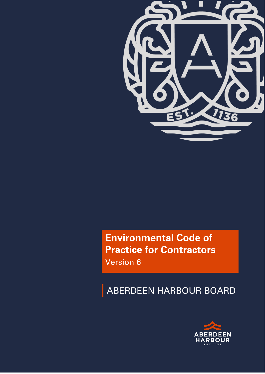

# **Environmental Code of Practice for Contractors** Version 6

# ABERDEEN HARBOUR BOARD

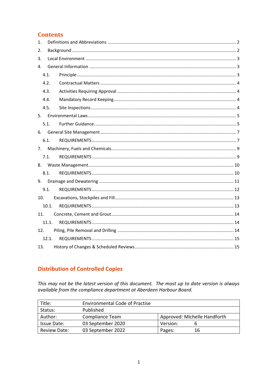## **Contents**

| 1.  |       |  |
|-----|-------|--|
| 2.  |       |  |
| 3.  |       |  |
| 4.  |       |  |
|     | 4.1.  |  |
|     | 4.2.  |  |
|     | 4.3.  |  |
|     | 4.4.  |  |
|     | 4.5.  |  |
|     |       |  |
|     | 5.1.  |  |
|     |       |  |
|     | 6.1.  |  |
| 7.  |       |  |
|     | 7.1.  |  |
|     |       |  |
|     | 8.1.  |  |
| 9.  |       |  |
|     | 9.1.  |  |
| 10. |       |  |
|     | 10.1. |  |
| 11. |       |  |
|     | 11.1. |  |
| 12. |       |  |
|     | 12.1. |  |
| 13. |       |  |

# **Distribution of Controlled Copies**

This may not be the latest version of this document. The most up to date version is always available from the compliance department at Aberdeen Harbour Board.

| Title:              | <b>Environmental Code of Practise</b> |          |                              |
|---------------------|---------------------------------------|----------|------------------------------|
| Status:             | Published                             |          |                              |
| Author:             | Compliance Team                       |          | Approved: Michelle Handforth |
| Issue Date:         | 03 September 2020                     | Version: |                              |
| <b>Review Date:</b> | 03 September 2022                     | Pages:   | 16                           |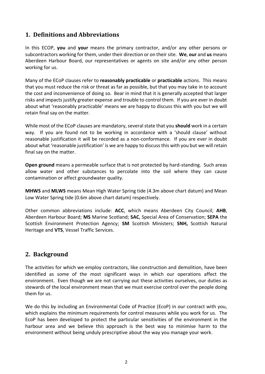# <span id="page-2-0"></span>**1. Definitions and Abbreviations**

In this ECOP, **you** and **your** means the primary contractor, and/or any other persons or subcontractors working for them, under their direction or on their site. **We**, **our** and **us** means Aberdeen Harbour Board, our representatives or agents on site and/or any other person working for us.

Many of the ECoP clauses refer to **reasonably practicable** or **practicable** actions. This means that you must reduce the risk or threat as far as possible, but that you may take in to account the cost and inconvenience of doing so. Bear in mind that it is generally accepted that larger risks and impacts justify greater expense and trouble to control them. If you are ever in doubt about what 'reasonably practicable' means we are happy to discuss this with you but we will retain final say on the matter.

While most of the ECoP clauses are mandatory, several state that you **should** work in a certain way. If you are found not to be working in accordance with a 'should clause' without reasonable justification it will be recorded as a non-conformance. If you are ever in doubt about what 'reasonable justification' is we are happy to discuss this with you but we will retain final say on the matter.

**Open ground** means a permeable surface that is not protected by hard-standing. Such areas allow water and other substances to percolate into the soil where they can cause contamination or affect groundwater quality.

**MHWS** and **MLWS** means Mean High Water Spring tide (4.3m above chart datum) and Mean Low Water Spring tide (0.6m above chart datum) respectively.

Other common abbreviations include: **ACC**, which means Aberdeen City Council; **AHB**, Aberdeen Harbour Board; **MS** Marine Scotland; **SAC**, Special Area of Conservation; **SEPA** the Scottish Environment Protection Agency; **SM** Scottish Ministers; **SNH,** Scottish Natural Heritage and **VTS**, Vessel Traffic Services.

#### <span id="page-2-1"></span>**2. Background**

The activities for which we employ contractors, like construction and demolition, have been identified as some of the most significant ways in which our operations affect the environment. Even though we are not carrying out these activities ourselves, our duties as stewards of the local environment mean that we must exercise control over the people doing them for us.

We do this by including an Environmental Code of Practice (EcoP) in our contract with you, which explains the minimum requirements for control measures while you work for us. The EcoP has been developed to protect the particular sensitivities of the environment in the harbour area and we believe this approach is the best way to minimise harm to the environment without being unduly prescriptive about the way you manage your work.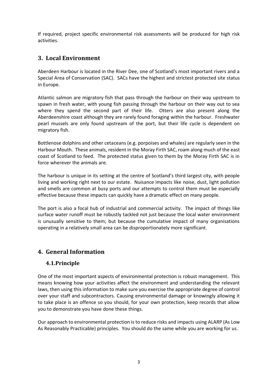If required, project specific environmental risk assessments will be produced for high risk activities.

# <span id="page-3-0"></span>**3. Local Environment**

Aberdeen Harbour is located in the River Dee, one of Scotland's most important rivers and a Special Area of Conservation (SAC). SACs have the highest and strictest protected site status in Europe.

Atlantic salmon are migratory fish that pass through the harbour on their way upstream to spawn in fresh water, with young fish passing through the harbour on their way out to sea where they spend the second part of their life. Otters are also present along the Aberdeenshire coast although they are rarely found foraging within the harbour. Freshwater pearl mussels are only found upstream of the port, but their life cycle is dependent on migratory fish.

Bottlenose dolphins and other cetaceans (e.g. porpoises and whales) are regularly seen in the Harbour Mouth. These animals, resident in the Moray Firth SAC, roam along much of the east coast of Scotland to feed. The protected status given to them by the Moray Firth SAC is in force wherever the animals are.

The harbour is unique in its setting at the centre of Scotland's third largest city, with people living and working right next to our estate. Nuisance impacts like noise, dust, light pollution and smells are common at busy ports and our attempts to control them must be especially effective because these impacts can quickly have a dramatic effect on many people.

The port is also a focal hub of industrial and commercial activity. The impact of things like surface water runoff must be robustly tackled not just because the local water environment is unusually sensitive to them; but because the cumulative impact of many organisations operating in a relatively small area can be disproportionately more significant.

# <span id="page-3-2"></span><span id="page-3-1"></span>**4. General Information**

#### **4.1.Principle**

One of the most important aspects of environmental protection is robust management. This means knowing how your activities affect the environment and understanding the relevant laws, then using this information to make sure you exercise the appropriate degree of control over your staff and subcontractors. Causing environmental damage or knowingly allowing it to take place is an offence so you should, for your own protection, keep records that allow you to demonstrate you have done these things.

Our approach to environmental protection is to reduce risks and impacts using ALARP (As Low As Reasonably Practicable) principles. You should do the same while you are working for us.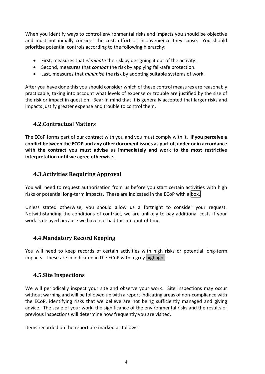When you identify ways to control environmental risks and impacts you should be objective and must not initially consider the cost, effort or inconvenience they cause. You should prioritise potential controls according to the following hierarchy:

- First, measures that *eliminate* the risk by designing it out of the activity.
- Second, measures that *combat* the risk by applying fail-safe protection.
- Last, measures that *minimise* the risk by adopting suitable systems of work.

After you have done this you should consider which of these control measures are reasonably practicable, taking into account what levels of expense or trouble are justified by the size of the risk or impact in question. Bear in mind that it is generally accepted that larger risks and impacts justify greater expense and trouble to control them.

#### <span id="page-4-0"></span>**4.2.Contractual Matters**

The ECoP forms part of our contract with you and you must comply with it. **If you perceive a conflict between the ECOP and any other document issues as part of, under or in accordance with the contract you must advise us immediately and work to the most restrictive interpretation until we agree otherwise.**

#### <span id="page-4-1"></span>**4.3.Activities Requiring Approval**

You will need to request authorisation from us before you start certain activities with high risks or potential long-term impacts. These are indicated in the ECoP with a box.

Unless stated otherwise, you should allow us a fortnight to consider your request. Notwithstanding the conditions of contract, we are unlikely to pay additional costs if your work is delayed because we have not had this amount of time.

#### <span id="page-4-2"></span>**4.4.Mandatory Record Keeping**

You will need to keep records of certain activities with high risks or potential long-term impacts. These are in indicated in the ECoP with a grey highlight.

#### <span id="page-4-3"></span>**4.5.Site Inspections**

We will periodically inspect your site and observe your work. Site inspections may occur without warning and will be followed up with a report indicating areas of non-compliance with the ECoP, identifying risks that we believe are not being sufficiently managed and giving advice. The scale of your work, the significance of the environmental risks and the results of previous inspections will determine how frequently you are visited.

Items recorded on the report are marked as follows: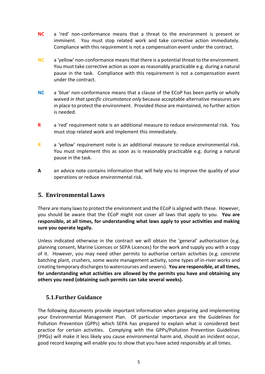- **NC** a 'red' non-conformance means that a threat to the environment is present or imminent. You must stop related work and take corrective action immediately. Compliance with this requirement is not a compensation event under the contract.
- **NC** a 'yellow' non-conformance means that there is a potential threat to the environment. You must take corrective action as soon as reasonably practicable e.g. during a natural pause in the task. Compliance with this requirement is not a compensation event under the contract.
- **NC** a 'blue' non-conformance means that a clause of the ECoP has been partly or wholly waived *in that specific circumstance only* because acceptable alternative measures are in place to protect the environment. Provided those are maintained, no further action is needed.
- **R** a 'red' requirement note is an additional measure to reduce environmental risk. You must stop related work and implement this immediately.
- **R** a 'yellow' requirement note is an additional measure to reduce environmental risk. You must implement this as soon as is reasonably practicable e.g. during a natural pause in the task.
- **A** an advice note contains information that will help you to improve the quality of your operations or reduce environmental risk.

#### <span id="page-5-0"></span>**5. Environmental Laws**

There are many laws to protect the environment and the ECoP is aligned with these. However, you should be aware that the ECoP might not cover all laws that apply to you. **You are responsible, at all times, for understanding what laws apply to your activities and making sure you operate legally.**

Unless indicated otherwise in the contract we will obtain the 'general' authorisation (e.g. planning consent, Marine Licences or SEPA Licences) for the work and supply you with a copy of it. However, you may need other permits to authorise certain activities (e.g. concrete batching plant, crushers, some waste management activity, some types of in-river works and creating temporary discharges to watercourses and sewers). **You are responsible, at all times, for understanding what activities are allowed by the permits you have and obtaining any others you need (obtaining such permits can take several weeks).**

#### <span id="page-5-1"></span>**5.1.Further Guidance**

The following documents provide important information when preparing and implementing your Environmental Management Plan. Of particular importance are the Guidelines for Pollution Prevention (GPPs) which SEPA has prepared to explain what is considered best practice for certain activities. Complying with the GPPs/Pollution Prevention Guidelines (PPGs) will make it less likely you cause environmental harm and, should an incident occur, good record keeping will enable you to show that you have acted responsibly at all times.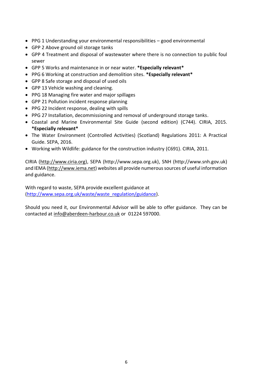- PPG 1 Understanding your environmental responsibilities good environmental
- GPP 2 Above ground oil storage tanks
- GPP 4 Treatment and disposal of wastewater where there is no connection to public foul sewer
- GPP 5 Works and maintenance in or near water. **\*Especially relevant\***
- PPG 6 Working at construction and demolition sites. **\*Especially relevant\***
- GPP 8 Safe storage and disposal of used oils
- GPP 13 Vehicle washing and cleaning.
- PPG 18 Managing fire water and major spillages
- GPP 21 Pollution incident response planning
- PPG 22 Incident response, dealing with spills
- PPG 27 Installation, decommissioning and removal of underground storage tanks.
- Coastal and Marine Environmental Site Guide (second edition) (C744). CIRIA, 2015. **\*Especially relevant\***
- The Water Environment (Controlled Activities) (Scotland) Regulations 2011: A Practical Guide. SEPA, 2016.
- Working with Wildlife: guidance for the construction industry (C691). CIRIA, 2011.

CIRIA [\(http://www.ciria.org\)](http://www.ciria.org/), SEPA (http://www.sepa.org.uk), SNH (http://www.snh.gov.uk) and IEMA [\(http://www.iema.net\)](http://www.iema.net/) websites all provide numerous sources of useful information and guidance.

With regard to waste, SEPA provide excellent guidance at [\(http://www.sepa.org.uk/waste/waste\\_regulation/guidance\)](http://www.sepa.org.uk/waste/waste_regulation/guidance).

Should you need it, our Environmental Advisor will be able to offer guidance. They can be contacted at [info@aberdeen-harbour.co.uk](mailto:info@aberdeen-harbour.co.uk) or 01224 597000.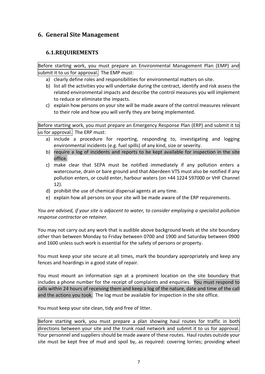## <span id="page-7-0"></span>**6. General Site Management**

#### <span id="page-7-1"></span>**6.1.REQUIREMENTS**

Before starting work, you must prepare an Environmental Management Plan (EMP) and submit it to us for approval. The EMP must:

- a) clearly define roles and responsibilities for environmental matters on site.
- b) list all the activities you will undertake during the contract, identify and risk assess the related environmental impacts and describe the control measures you will implement to reduce or eliminate the impacts.
- c) explain how persons on your site will be made aware of the control measures relevant to their role and how you will verify they are being implemented.

Before starting work, you must prepare an Emergency Response Plan (ERP) and submit it to us for approval. The ERP must:

- a) include a procedure for reporting, responding to, investigating and logging environmental incidents (e.g. fuel spills) of any kind, size or severity.
- b) require a log of incidents and reports to be kept available for inspection in the site office.
- c) make clear that SEPA must be notified immediately if any pollution enters a watercourse, drain or bare ground and that Aberdeen VTS must also be notified if any pollution enters, or could enter, harbour waters (on +44 1224 597000 or VHF Channel 12).
- d) prohibit the use of chemical dispersal agents at any time.
- e) explain how all persons on your site will be made aware of the ERP requirements.

*You are advised, if your site is adjacent to water, to consider employing a specialist pollution response contractor on retainer.*

You may not carry out any work that is audible above background levels at the site boundary other than between Monday to Friday between 0700 and 1900 and Saturday between 0900 and 1600 unless such work is essential for the safety of persons or property.

You must keep your site secure at all times, mark the boundary appropriately and keep any fences and hoardings in a good state of repair.

You must mount an information sign at a prominent location on the site boundary that includes a phone number for the receipt of complaints and enquiries. You must respond to calls within 24 hours of receiving them and keep a log of the nature, date and time of the call and the actions you took. The log must be available for inspection in the site office.

You must keep your site clean, tidy and free of litter.

Before starting work, you must prepare a plan showing haul routes for traffic in both directions between your site and the trunk road network and submit it to us for approval. Your personnel and suppliers should be made aware of these routes. Haul routes outside your site must be kept free of mud and spoil by, as required: covering lorries; providing wheel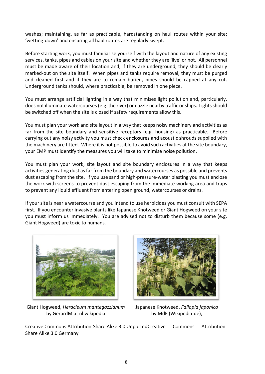washes; maintaining, as far as practicable, hardstanding on haul routes within your site; 'wetting-down' and ensuring all haul routes are regularly swept.

Before starting work, you must familiarise yourself with the layout and nature of any existing services, tanks, pipes and cables on your site and whether they are 'live' or not. All personnel must be made aware of their location and, if they are underground, they should be clearly marked-out on the site itself. When pipes and tanks require removal, they must be purged and cleaned first and if they are to remain buried, pipes should be capped at any cut. Underground tanks should, where practicable, be removed in one piece.

You must arrange artificial lighting in a way that minimises light pollution and, particularly, does not illuminate watercourses (e.g. the river) or dazzle nearby traffic or ships. Lights should be switched off when the site is closed if safety requirements allow this.

You must plan your work and site layout in a way that keeps noisy machinery and activities as far from the site boundary and sensitive receptors (e.g. housing) as practicable. Before carrying out any noisy activity you must check enclosures and acoustic shrouds supplied with the machinery are fitted. Where it is not possible to avoid such activities at the site boundary, your EMP must identify the measures you will take to minimise noise pollution.

You must plan your work, site layout and site boundary enclosures in a way that keeps activities generating dust as far from the boundary and watercourses as possible and prevents dust escaping from the site. If you use sand or high-pressure-water blasting you must enclose the work with screens to prevent dust escaping from the immediate working area and traps to prevent any liquid effluent from entering open ground, watercourses or drains.

If your site is near a watercourse and you intend to use herbicides you must consult with SEPA first. If you encounter invasive plants like Japanese Knotweed or Giant Hogweed on your site you must inform us immediately. You are advised not to disturb them because some (e.g. Giant Hogweed) are toxic to humans.



Giant Hogweed, *Heracleum mantegazzianum* Japanese Knotweed, *Fallopia japonica* by GerardM at nl.wikipedia by MdE (Wikipedia-de),



Creative Commons Attribution-Share Alike 3.0 UnportedCreative Commons Attribution-Share Alike 3.0 Germany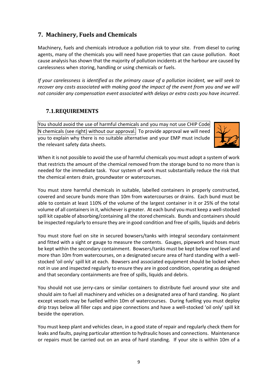# <span id="page-9-0"></span>**7. Machinery, Fuels and Chemicals**

Machinery, fuels and chemicals introduce a pollution risk to your site. From diesel to curing agents, many of the chemicals you will need have properties that can cause pollution. Root cause analysis has shown that the majority of pollution incidents at the harbour are caused by carelessness when storing, handling or using chemicals or fuels.

*If your carelessness is identified as the primary cause of a pollution incident, we will seek to recover any costs associated with making good the impact of the event from you and we will not consider any compensation event associated with delays or extra costs you have incurred.*

## <span id="page-9-1"></span>**7.1.REQUIREMENTS**

You should avoid the use of harmful chemicals and you may not use CHIP Code N chemicals (see right) without our approval. To provide approval we will need you to explain why there is no suitable alternative and your EMP must include the relevant safety data sheets.



When it is not possible to avoid the use of harmful chemicals you must adopt a system of work that restricts the amount of the chemical removed from the storage bund to no more than is needed for the immediate task. Your system of work must substantially reduce the risk that the chemical enters drain, groundwater or watercourses.

You must store harmful chemicals in suitable, labelled containers in properly constructed, covered and secure bunds more than 10m from watercourses or drains. Each bund must be able to contain at least 110% of the volume of the largest container in it or 25% of the total volume of all containers in it, whichever is greater. At each bund you must keep a well-stocked spill kit capable of absorbing/containing all the stored chemicals. Bunds and containers should be inspected regularly to ensure they are in good condition and free of spills, liquids and debris

You must store fuel on site in secured bowsers/tanks with integral secondary containment and fitted with a sight or gauge to measure the contents. Gauges, pipework and hoses must be kept within the secondary containment. Bowsers/tanks must be kept below roof level and more than 10m from watercourses, on a designated secure area of hard standing with a wellstocked 'oil only' spill kit at each. Bowsers and associated equipment should be locked when not in use and inspected regularly to ensure they are in good condition, operating as designed and that secondary containments are free of spills, liquids and debris.

You should not use jerry-cans or similar containers to distribute fuel around your site and should aim to fuel all machinery and vehicles on a designated area of hard standing. No plant except vessels may be fuelled within 10m of watercourses. During fuelling you must deploy drip trays below all filler caps and pipe connections and have a well-stocked 'oil only' spill kit beside the operation.

You must keep plant and vehicles clean, in a good state of repair and regularly check them for leaks and faults, paying particular attention to hydraulic hoses and connections. Maintenance or repairs must be carried out on an area of hard standing. If your site is within 10m of a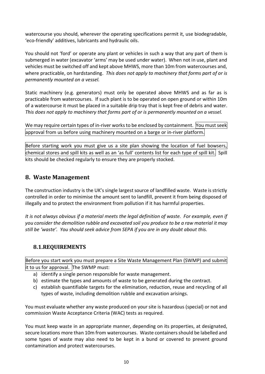watercourse you should, wherever the operating specifications permit it, use biodegradable, 'eco-friendly' additives, lubricants and hydraulic oils.

You should not 'ford' or operate any plant or vehicles in such a way that any part of them is submerged in water (excavator 'arms' may be used under water). When not in use, plant and vehicles must be switched off and kept above MHWS, more than 10m from watercourses and, where practicable, on hardstanding. *This does not apply to machinery that forms part of or is permanently mounted on a vessel.*

Static machinery (e.g. generators) must only be operated above MHWS and as far as is practicable from watercourses. If such plant is to be operated on open ground or within 10m of a watercourse it must be placed in a suitable drip tray that is kept free of debris and water. *This does not apply to machinery that forms part of or is permanently mounted on a vessel.*

We may require certain types of in-river works to be enclosed by containment. You must seek approval from us before using machinery mounted on a barge or in-river platform.

Before starting work you must give us a site plan showing the location of fuel bowsers, chemical stores and spill kits as well as an 'as full' contents list for each type of spill kit. Spill kits should be checked regularly to ensure they are properly stocked.

## <span id="page-10-0"></span>**8. Waste Management**

The construction industry is the UK's single largest source of landfilled waste. Waste is strictly controlled in order to minimise the amount sent to landfill, prevent it from being disposed of illegally and to protect the environment from pollution if it has harmful properties.

*It is not always obvious if a material meets the legal definition of waste. For example, even if you consider the demolition rubble and excavated soil you produce to be a raw material it may still be 'waste'. You should seek advice from SEPA if you are in any doubt about this.*

#### <span id="page-10-1"></span>**8.1.REQUIREMENTS**

Before you start work you must prepare a Site Waste Management Plan (SWMP) and submit it to us for approval. The SWMP must:

- a) identify a single person responsible for waste management.
- b) estimate the types and amounts of waste to be generated during the contract.
- c) establish quantifiable targets for the elimination, reduction, reuse and recycling of all types of waste, including demolition rubble and excavation arisings.

You must evaluate whether any waste produced on your site is hazardous (special) or not and commission Waste Acceptance Criteria (WAC) tests as required.

You must keep waste in an appropriate manner, depending on its properties, at designated, secure locations more than 10m from watercourses. Waste containers should be labelled and some types of waste may also need to be kept in a bund or covered to prevent ground contamination and protect watercourses.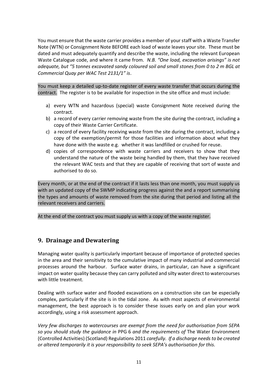You must ensure that the waste carrier provides a member of your staff with a Waste Transfer Note (WTN) or Consignment Note BEFORE each load of waste leaves your site. These must be dated and must adequately quantify and describe the waste, including the relevant European Waste Catalogue code, and where it came from. *N.B. "One load, excavation arisings" is not adequate, but "5 tonnes excavated sandy coloured soil and small stones from 0 to 2 m BGL at Commercial Quay per WAC Test 2131/1" is*.

You must keep a detailed up-to-date register of every waste transfer that occurs during the contract. The register is to be available for inspection in the site office and must include:

- a) every WTN and hazardous (special) waste Consignment Note received during the contract.
- b) a record of every carrier removing waste from the site during the contract, including a copy of their Waste Carrier Certificate.
- c) a record of every facility receiving waste from the site during the contract, including a copy of the exemption/permit for those facilities and information about what they have done with the waste e.g. whether it was landfilled or crushed for reuse.
- d) copies of correspondence with waste carriers and receivers to show that they understand the nature of the waste being handled by them, that they have received the relevant WAC tests and that they are capable of receiving that sort of waste and authorised to do so.

Every month, or at the end of the contract if it lasts less than one month, you must supply us with an updated copy of the SWMP indicating progress against the and a report summarising the types and amounts of waste removed from the site during that period and listing all the relevant receivers and carriers.

At the end of the contract you must supply us with a copy of the waste register.

#### <span id="page-11-0"></span>**9. Drainage and Dewatering**

Managing water quality is particularly important because of importance of protected species in the area and their sensitivity to the cumulative impact of many industrial and commercial processes around the harbour. Surface water drains, in particular, can have a significant impact on water quality because they can carry polluted and silty water direct to watercourses with little treatment.

Dealing with surface water and flooded excavations on a construction site can be especially complex, particularly if the site is in the tidal zone. As with most aspects of environmental management, the best approach is to consider these issues early on and plan your work accordingly, using a risk assessment approach.

*Very few discharges to watercourses are exempt from the need for authorisation from SEPA so you should study the guidance in* PPG 6 *and the requirements of* The Water Environment (Controlled Activities) (Scotland) Regulations 2011 *carefully. If a discharge needs to be created or altered temporarily it is your responsibility to seek SEPA's authorisation for this.*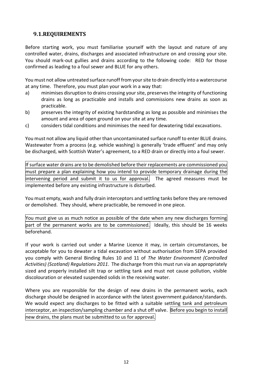## <span id="page-12-0"></span>**9.1.REQUIREMENTS**

Before starting work, you must familiarise yourself with the layout and nature of any controlled water, drains, discharges and associated infrastructure on and crossing your site. You should mark-out gullies and drains according to the following code: RED for those confirmed as leading to a foul sewer and BLUE for any others.

You must not allow untreated surface runoff from your site to drain directly into a watercourse at any time. Therefore, you must plan your work in a way that:

- a) minimises disruption to drains crossing your site, preserves the integrity of functioning drains as long as practicable and installs and commissions new drains as soon as practicable.
- b) preserves the integrity of existing hardstanding as long as possible and minimises the amount and area of open ground on your site at any time.
- c) considers tidal conditions and minimises the need for dewatering tidal excavations.

You must not allow any liquid other than uncontaminated surface runoff to enter BLUE drains. Wastewater from a process (e.g. vehicle washing) is generally 'trade effluent' and may only be discharged, with Scottish Water's agreement, to a RED drain or directly into a foul sewer.

If surface water drains are to be demolished before their replacements are commissioned you must prepare a plan explaining how you intend to provide temporary drainage during the intervening period and submit it to us for approval. The agreed measures must be implemented before any existing infrastructure is disturbed.

You must empty, wash and fully drain interceptors and settling tanks before they are removed or demolished. They should, where practicable, be removed in one piece.

You must give us as much notice as possible of the date when any new discharges forming part of the permanent works are to be commissioned. Ideally, this should be 16 weeks beforehand.

If your work is carried out under a Marine Licence it may, in certain circumstances, be acceptable for you to dewater a tidal excavation without authorisation from SEPA provided you comply with General Binding Rules 10 and 11 of *The Water Environment (Controlled Activities) (Scotland) Regulations 2011*. The discharge from this must run via an appropriately sized and properly installed silt trap or settling tank and must not cause pollution, visible discolouration or elevated suspended solids in the receiving water.

Where you are responsible for the design of new drains in the permanent works, each discharge should be designed in accordance with the latest government guidance/standards. We would expect any discharges to be fitted with a suitable settling tank and petroleum interceptor, an inspection/sampling chamber and a shut off valve. Before you begin to install new drains, the plans must be submitted to us for approval.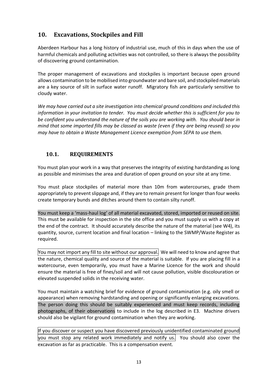# <span id="page-13-0"></span>**10. Excavations, Stockpiles and Fill**

Aberdeen Harbour has a long history of industrial use, much of this in days when the use of harmful chemicals and polluting activities was not controlled, so there is always the possibility of discovering ground contamination.

The proper management of excavations and stockpiles is important because open ground allows contamination to be mobilised into groundwater and bare soil, and stockpiled materials are a key source of silt in surface water runoff. Migratory fish are particularly sensitive to cloudy water.

*We may have carried out a site investigation into chemical ground conditions and included this information in your invitation to tender. You must decide whether this is sufficient for you to be confident you understand the nature of the soils you are working with. You should bear in mind that some imported fills may be classed as waste (even if they are being reused) so you may have to obtain a Waste Management Licence exemption from SEPA to use them.*

#### <span id="page-13-1"></span>**10.1. REQUIREMENTS**

You must plan your work in a way that preserves the integrity of existing hardstanding as long as possible and minimises the area and duration of open ground on your site at any time.

You must place stockpiles of material more than 10m from watercourses, grade them appropriately to prevent slippage and, if they are to remain present for longer than four weeks create temporary bunds and ditches around them to contain silty runoff.

You must keep a 'mass-haul log' of all material excavated, stored, imported or reused on site. This must be available for inspection in the site office and you must supply us with a copy at the end of the contract. It should accurately describe the nature of the material (see W4), its quantity, source, current location and final location – linking to the SWMP/Waste Register as required.

You may not import any fill to site without our approval. We will need to know and agree that the nature, chemical quality and source of the material is suitable. If you are placing fill in a watercourse, even temporarily, you must have a Marine Licence for the work and should ensure the material is free of fines/soil and will not cause pollution, visible discolouration or elevated suspended solids in the receiving water.

You must maintain a watching brief for evidence of ground contamination (e.g. oily smell or appearance) when removing hardstanding and opening or significantly enlarging excavations. The person doing this should be suitably experienced and must keep records, including photographs, of their observations to include in the log described in E3. Machine drivers should also be vigilant for ground contamination when they are working.

If you discover or suspect you have discovered previously unidentified contaminated ground you must stop any related work immediately and notify us. You should also cover the excavation as far as practicable. This is a compensation event.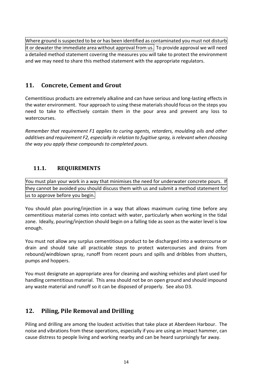Where ground is suspected to be or has been identified as contaminated you must not disturb  $|$ it or dewater the immediate area without approval from us. To provide approval we will need a detailed method statement covering the measures you will take to protect the environment and we may need to share this method statement with the appropriate regulators.

# <span id="page-14-0"></span>**11. Concrete, Cement and Grout**

Cementitious products are extremely alkaline and can have serious and long-lasting effects in the water environment. Your approach to using these materials should focus on the steps you need to take to effectively contain them in the pour area and prevent any loss to watercourses.

*Remember that requirement F1 applies to curing agents, retarders, moulding oils and other additives and requirement F2, especially in relation to fugitive spray, is relevant when choosing the way you apply these compounds to completed pours.*

## <span id="page-14-1"></span>**11.1. REQUIREMENTS**

You must plan your work in a way that minimises the need for underwater concrete pours. If they cannot be avoided you should discuss them with us and submit a method statement for us to approve before you begin.

You should plan pouring/injection in a way that allows maximum curing time before any cementitious material comes into contact with water, particularly when working in the tidal zone. Ideally, pouring/injection should begin on a falling tide as soon as the water level is low enough.

You must not allow any surplus cementitious product to be discharged into a watercourse or drain and should take all practicable steps to protect watercourses and drains from rebound/windblown spray, runoff from recent pours and spills and dribbles from shutters, pumps and hoppers.

You must designate an appropriate area for cleaning and washing vehicles and plant used for handling cementitious material. This area should not be on open ground and should impound any waste material and runoff so it can be disposed of properly. See also D3.

# <span id="page-14-2"></span>**12. Piling, Pile Removal and Drilling**

Piling and drilling are among the loudest activities that take place at Aberdeen Harbour. The noise and vibrations from these operations, especially if you are using an impact hammer, can cause distress to people living and working nearby and can be heard surprisingly far away.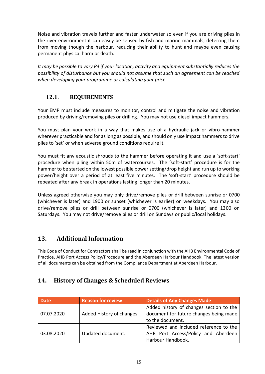Noise and vibration travels further and faster underwater so even if you are driving piles in the river environment it can easily be sensed by fish and marine mammals; deterring them from moving though the harbour, reducing their ability to hunt and maybe even causing permanent physical harm or death.

*It may be possible to vary P4 if your location, activity and equipment substantially reduces the possibility of disturbance but you should not assume that such an agreement can be reached when developing your programme or calculating your price.*

# <span id="page-15-0"></span>**12.1. REQUIREMENTS**

Your EMP must include measures to monitor, control and mitigate the noise and vibration produced by driving/removing piles or drilling. You may not use diesel impact hammers.

You must plan your work in a way that makes use of a hydraulic jack or vibro-hammer wherever practicable and for as long as possible, and should only use impact hammers to drive piles to 'set' or when adverse ground conditions require it.

You must fit any acoustic shrouds to the hammer before operating it and use a 'soft-start' procedure when piling within 50m of watercourses. The 'soft-start' procedure is for the hammer to be started on the lowest possible power setting/drop height and run up to working power/height over a period of at least five minutes. The 'soft-start' procedure should be repeated after any break in operations lasting longer than 20 minutes.

Unless agreed otherwise you may only drive/remove piles or drill between sunrise or 0700 (whichever is later) and 1900 or sunset (whichever is earlier) on weekdays. You may also drive/remove piles or drill between sunrise or 0700 (whichever is later) and 1300 on Saturdays. You may not drive/remove piles or drill on Sundays or public/local holidays.

# **13. Additional Information**

This Code of Conduct for Contractors shall be read in conjunction with the AHB Environmental Code of Practice, AHB Port Access Policy/Procedure and the Aberdeen Harbour Handbook. The latest version of all documents can be obtained from the Compliance Department at Aberdeen Harbour.

# <span id="page-15-1"></span>**14. History of Changes & Scheduled Reviews**

| <b>Date</b> | <b>Reason for review</b> | <b>Details of Any Changes Made</b>                                                                 |  |
|-------------|--------------------------|----------------------------------------------------------------------------------------------------|--|
| 07.07.2020  | Added History of changes | Added history of changes section to the<br>document for future changes being made                  |  |
|             |                          | to the document.                                                                                   |  |
| 03.08.2020  | Updated document.        | Reviewed and included reference to the<br>AHB Port Access/Policy and Aberdeen<br>Harbour Handbook. |  |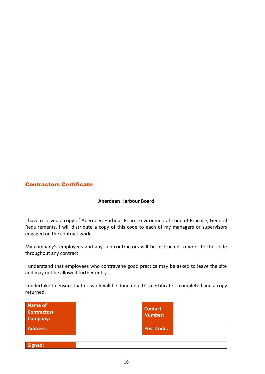#### Contractors Certificate

#### **Aberdeen Harbour Board**

I have received a copy of Aberdeen Harbour Board Environmental Code of Practice, General Requirements. I will distribute a copy of this code to each of my managers or supervisors engaged on the contract work.

My company's employees and any sub-contractors will be instructed to work to the code throughout any contract.

I understand that employees who contravene good practice may be asked to leave the site and may not be allowed further entry.

I undertake to ensure that no work will be done until this certificate is completed and a copy returned.

| Name of<br><b>Contractors</b><br>Company: | <b>Contact</b> | Number:           |
|-------------------------------------------|----------------|-------------------|
| <b>Address:</b>                           |                | <b>Post Code:</b> |

| Signed: |
|---------|
|         |